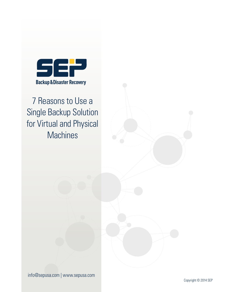

7 Reasons to Use a Single Backup Solution for Virtual and Physical **Machines** 

info@sepusa.com | www.sepusa.com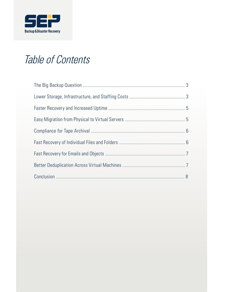

# Table of Contents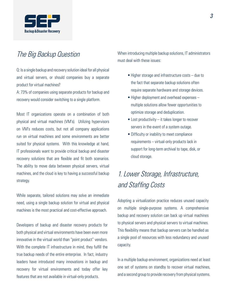

## The Big Backup Question

Q: Is a single backup and recovery solution ideal for all physical and virtual servers, or should companies buy a separate product for virtual machines?

A: 73% of companies using separate products for backup and recovery would consider switching to a single platform.

Most IT organizations operate on a combination of both physical and virtual machines (VM's). Utilizing hypervisors on VM's reduces costs, but not all company applications run on virtual machines and some environments are better suited for physical systems. With this knowledge at hand, IT professionals want to provide critical backup and disaster recovery solutions that are flexible and fit both scenarios. The ability to move data between physical servers, virtual machines, and the cloud is key to having a successful backup strategy.

While separate, tailored solutions may solve an immediate need, using a single backup solution for virtual and physical machines is the most practical and cost-effective approach.

Developers of backup and disaster recovery products for both physical and virtual environments have been even more innovative in the virtual world than "point product" vendors. With the complete IT infrastructure in mind, they fulfill the true backup needs of the entire enterprise. In fact, industry leaders have introduced many innovations in backup and recovery for virtual environments and today offer key features that are not available in virtual-only products.

When introducing multiple backup solutions, IT administrators must deal with these issues:

- Higher storage and infrastructure costs due to the fact that separate backup solutions often require separate hardware and storage devices.
- Higher deployment and overhead expenses multiple solutions allow fewer opportunities to optimize storage and deduplication.
- Lost productivity it takes longer to recover servers in the event of a system outage.
- Difficulty or inability to meet compliance requirements – virtual-only products lack in support for long-term archival to tape, disk, or cloud storage.

# 1. Lower Storage, Infrastructure, and Staffing Costs

Adopting a virtualization practice reduces unused capacity on multiple single-purpose systems. A comprehensive backup and recovery solution can back up virtual machines to physical servers and physical servers to virtual machines. This flexibility means that backup servers can be handled as a single pool of resources with less redundancy and unused capacity.

In a multiple backup environment, organizations need at least one set of systems on standby to recover virtual machines, and a second group to provide recovery from physical systems.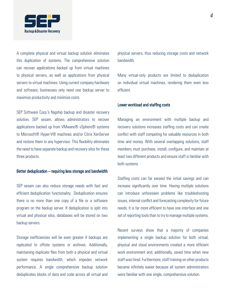

A complete physical and virtual backup solution eliminates this duplication of systems. The comprehensive solution can recover applications backed up from virtual machines to physical servers, as well as applications from physical servers to virtual machines. Using current company hardware and software, businesses only need one backup server to maximize productivity and minimize costs.

SEP Software Corp.'s flagship backup and disaster recovery solution, SEP sesam, allows administrators to recover applications backed up from VMware® vSphere® systems to Microsoft® Hyper-V® machines and/or Citrix XenServer and restore them to any hypervisor. This flexibility eliminates the need to have separate backup and recovery silos for these three products.

### Better deduplication – requiring less storage and bandwidth

SEP sesam can also reduce storage needs with fast and efficient deduplication functionality. Deduplication ensures there is no more than one copy of a file or a software program on the backup server. If deduplication is split into virtual and physical silos, databases will be stored on two backup servers.

Storage inefficiencies will be even greater if backups are replicated to offsite systems or archives. Additionally, maintaining duplicate files from both a physical and virtual system requires bandwidth, which impedes network performance. A single comprehensive backup solution deduplicates blocks of data and code across all virtual and

physical servers, thus reducing storage costs and network bandwidth.

Many virtual-only products are limited to deduplication on individual virtual machines, rendering them even less efficient.

#### Lower workload and staffing costs

Managing an environment with multiple backup and recovery solutions increases staffing costs and can create conflict with staff competing for valuable resources in both time and money. With several overlapping solutions, staff members must purchase, install, configure, and maintain at least two different products and ensure staff is familiar with both systems.

Staffing costs can far exceed the initial savings and can increase significantly over time. Having multiple solutions can introduce unforeseen problems like troubleshooting issues, internal conflict and forecasting complexity for future needs. It is far more efficient to have one interface and one set of reporting tools than to try to manage multiple systems.

Recent surveys show that a majority of companies implementing a single backup solution for both virtual, physical and cloud environments created a more efficient work environment and, additionally, saved time when new staff was hired. Furthermore, staff training on other products became infinitely easier because all system administrators were familiar with one single, comprehensive solution.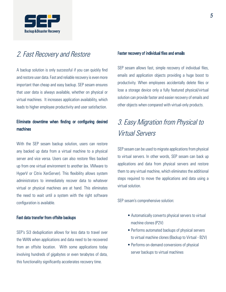

### 2. Fast Recovery and Restore

A backup solution is only successful if you can quickly find and restore user data. Fast and reliable recovery is even more important than cheap and easy backup. SEP sesam ensures that user data is always available, whether on physical or virtual machines. It increases application availability, which leads to higher employee productivity and user satisfaction.

### Eliminate downtime when finding or configuring desired machines

With the SEP sesam backup solution, users can restore any backed up data from a virtual machine to a physical server and vice versa. Users can also restore files backed up from one virtual environment to another (ex. VMware to HyperV or Citrix XenServer). This flexibility allows system administrators to immediately recover data to whatever virtual or physical machines are at hand. This eliminates the need to wait until a system with the right software configuration is available.

### Fast data transfer from offsite backups

SEP's Si3 deduplication allows for less data to travel over the WAN when applications and data need to be recovered from an offsite location. With some applications today involving hundreds of gigabytes or even terabytes of data, this functionality significantly accelerates recovery time.

### Faster recovery of individual files and emails

SEP sesam allows fast, simple recovery of individual files, emails and application objects providing a huge boost to productivity. When employees accidentally delete files or lose a storage device only a fully featured physical/virtual solution can provide faster and easier recovery of emails and other objects when compared with virtual-only products.

# 3. Easy Migration from Physical to Virtual Servers

SEP sesam can be used to migrate applications from physical to virtual servers. In other words, SEP sesam can back up applications and data from physical servers and restore them to any virtual machine, which eliminates the additional steps required to move the applications and data using a virtual solution.

SEP sesam's comprehensive solution:

- Automatically converts physical servers to virtual machine clones (P2V)
- Performs automated backups of physical servers to virtual machine clones (Backup to Virtual - B2V)
- Performs on-demand conversions of physical server backups to virtual machines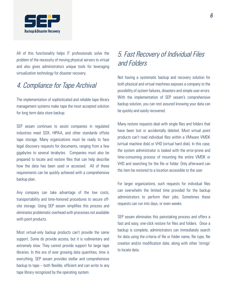

All of this functionality helps IT professionals solve the problem of the necessity of moving physical servers to virtual and also gives administrators unique tools for leveraging virtualization technology for disaster recovery.

## 4. Compliance for Tape Archival

The implementation of sophisticated and reliable tape library management systems make tape the most accepted solution for long term data store backup.

SEP sesam continues to assist companies in regulated industries meet SOX, HIPAA, and other standards offsite tape storage. Many organizations must be ready to face legal discovery requests for documents, ranging from a few gigabytes to several terabytes. Companies must also be prepared to locate and restore files that can help describe how the data has been used or accessed. All of these requirements can be quickly achieved with a comprehensive backup plan.

Any company can take advantage of the low costs, transportability and time-honored procedures to secure offsite storage. Using SEP sesam simplifies this process and eliminates problematic overhead with processes not available with point products.

Most virtual-only backup products can't provide the same support. Some do provide access, but it is rudimentary and extremely slow. They cannot provide support for large tape libraries. In this era of ever growing data quantities, time is everything. SEP sesam provides stellar and comprehensive backup to tape – both flexible, efficient and can write to any tape library recognized by the operating system.

# 5. Fast Recovery of Individual Files and Folders

Not having a systematic backup and recovery solution for both physical and virtual machines exposes a company to the possibility of system failures, disasters and simple user errors. With the implementation of SEP sesam's comprehensive backup solution, you can rest assured knowing your data can be quickly and easily recovered.

Many restore requests deal with single files and folders that have been lost or accidentally deleted. Most virtual point products can't read individual files within a VMware VMDK (virtual machine disk) or VHD (virtual hard disk). In this case, the system administrator is tasked with the error-prone and time-consuming process of mounting the entire VMDK or VHD and searching for the file or folder. Only afterward can the item be restored to a location accessible to the user.

For larger organizations, such requests for individual files can overwhelm the limited time provided for the backup administrators to perform their jobs. Sometimes these requests can run into days, or even weeks.

SEP sesam eliminates this painstaking process and offers a fast and easy, one-click restore for files and folders. Once a backup is complete, administrators can immediately search for data using the criteria of file or folder name, file type, file creation and/or modification date, along with other 'strings' to locate data.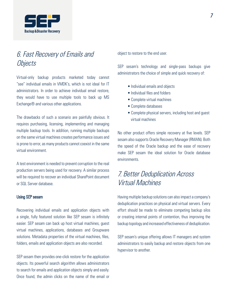

# 6. Fast Recovery of Emails and **Objects**

Virtual-only backup products marketed today cannot "see" individual emails in VMDK's, which is not ideal for IT administrators. In order to achieve individual email restore, they would have to use multiple tools to back up MS Exchange® and various other applications.

The drawbacks of such a scenario are painfully obvious. It requires purchasing, licensing, implementing and managing multiple backup tools. In addition, running multiple backups on the same virtual machines creates performance issues and is prone to error, as many products cannot coexist in the same virtual environment.

A test environment is needed to prevent corruption to the real production servers being used for recovery. A similar process will be required to recover an individual SharePoint document or SQL Server database.

#### Using SEP sesam

Recovering individual emails and application objects with a single, fully featured solution like SEP sesam is infinitely easier. SEP sesam can back up host virtual machines, guest virtual machines, applications, databases and Groupware solutions. Metadata properties of the virtual machines, files, folders, emails and application objects are also recorded.

SEP sesam then provides one-click restore for the application objects. Its powerful search algorithm allows administrators to search for emails and application objects simply and easily. Once found, the admin clicks on the name of the email or object to restore to the end user.

SEP sesam's technology and single-pass backups give administrators the choice of simple and quick recovery of:

- Individual emails and objects
- Individual files and folders
- Complete virtual machines
- Complete databases
- Complete physical servers, including host and guest virtual machines

No other product offers simple recovery at five levels. SEP sesam also supports Oracle Recovery Manager (RMAN). Both the speed of the Oracle backup and the ease of recovery make SEP sesam the ideal solution for Oracle database environments.

# 7. Better Deduplication Across Virtual Machines

Having multiple backup solutions can also impact a company's deduplication practices on physical and virtual servers. Every effort should be made to eliminate competing backup silos or creating internal points of contention, thus improving the backup topology and increased effectiveness of deduplication.

SEP sesam's unique offering allows IT managers and system administrators to easily backup and restore objects from one hypervisor to another.